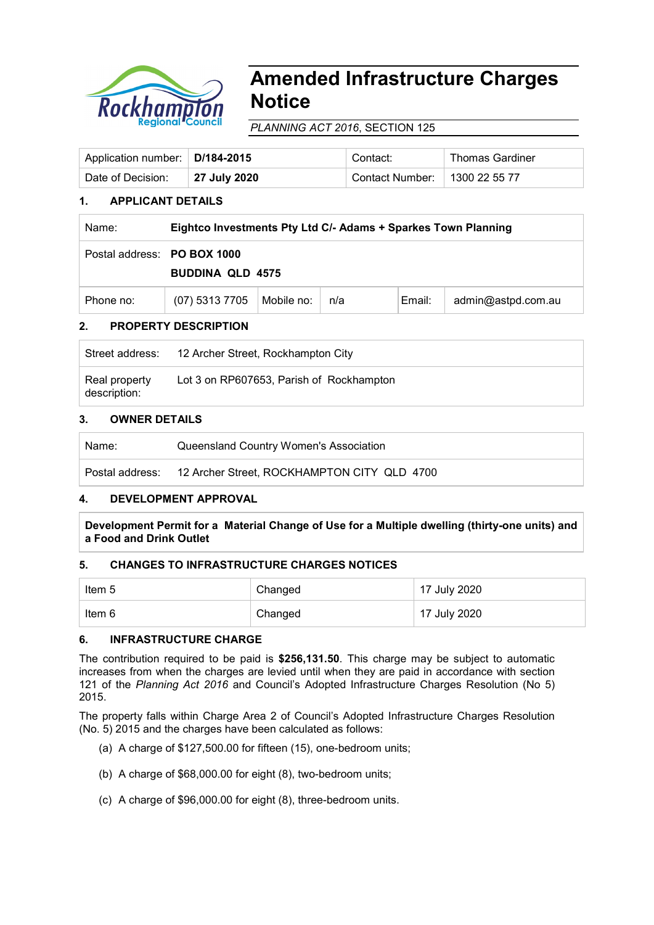

# **Amended Infrastructure Charges Notice**

*PLANNING ACT 2016*, SECTION 125

| Application number:   D/184-2015 |              | Contact: C                      | <b>Thomas Gardiner</b> |
|----------------------------------|--------------|---------------------------------|------------------------|
| Date of Decision:                | 27 July 2020 | Contact Number:   1300 22 55 77 |                        |

# **1. APPLICANT DETAILS**

| Name:     | Eightco Investments Pty Ltd C/- Adams + Sparkes Town Planning |              |     |        |                    |
|-----------|---------------------------------------------------------------|--------------|-----|--------|--------------------|
|           | Postal address: PO BOX 1000<br><b>BUDDINA QLD 4575</b>        |              |     |        |                    |
| Phone no: | (07) 5313 7705                                                | ∣ Mobile no: | n/a | Email: | admin@astpd.com.au |

# **2. PROPERTY DESCRIPTION**

| Street address:               | 12 Archer Street, Rockhampton City       |
|-------------------------------|------------------------------------------|
| Real property<br>description: | Lot 3 on RP607653, Parish of Rockhampton |

### **3. OWNER DETAILS**

| Name: | Queensland Country Women's Association                      |  |
|-------|-------------------------------------------------------------|--|
|       | Postal address: 12 Archer Street, ROCKHAMPTON CITY QLD 4700 |  |

# **4. DEVELOPMENT APPROVAL**

**Development Permit for a Material Change of Use for a Multiple dwelling (thirty-one units) and a Food and Drink Outlet**

### **5. CHANGES TO INFRASTRUCTURE CHARGES NOTICES**

| Item 5 | Changed | 17 July 2020 |
|--------|---------|--------------|
| Item 6 | Changed | 17 July 2020 |

#### **6. INFRASTRUCTURE CHARGE**

The contribution required to be paid is **\$256,131.50**. This charge may be subject to automatic increases from when the charges are levied until when they are paid in accordance with section 121 of the *Planning Act 2016* and Council's Adopted Infrastructure Charges Resolution (No 5) 2015.

The property falls within Charge Area 2 of Council's Adopted Infrastructure Charges Resolution (No. 5) 2015 and the charges have been calculated as follows:

- (a) A charge of \$127,500.00 for fifteen (15), one-bedroom units;
- (b) A charge of \$68,000.00 for eight (8), two-bedroom units;
- (c) A charge of \$96,000.00 for eight (8), three-bedroom units.